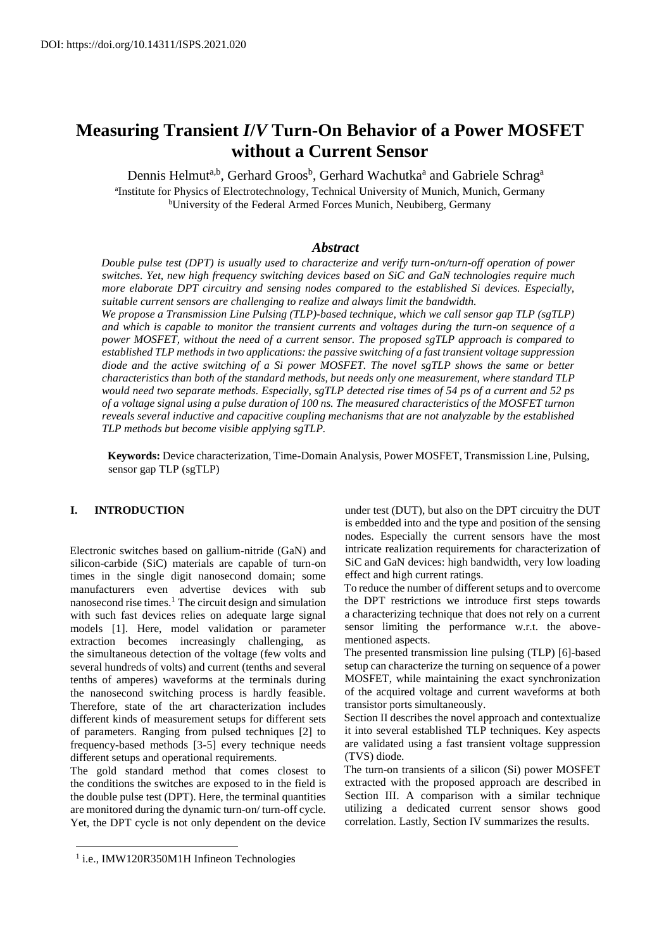# **Measuring Transient** *I***/***V* **Turn-On Behavior of a Power MOSFET without a Current Sensor**

Dennis Helmut<sup>a,b</sup>, Gerhard Groos<sup>b</sup>, Gerhard Wachutka<sup>a</sup> and Gabriele Schrag<sup>a</sup> a Institute for Physics of Electrotechnology, Technical University of Munich, Munich, Germany <sup>b</sup>University of the Federal Armed Forces Munich, Neubiberg, Germany

## *Abstract*

*Double pulse test (DPT) is usually used to characterize and verify turn-on/turn-off operation of power switches. Yet, new high frequency switching devices based on SiC and GaN technologies require much more elaborate DPT circuitry and sensing nodes compared to the established Si devices. Especially, suitable current sensors are challenging to realize and always limit the bandwidth.* 

*We propose a Transmission Line Pulsing (TLP)-based technique, which we call sensor gap TLP (sgTLP) and which is capable to monitor the transient currents and voltages during the turn-on sequence of a power MOSFET, without the need of a current sensor. The proposed sgTLP approach is compared to established TLP methods in two applications: the passive switching of a fast transient voltage suppression diode and the active switching of a Si power MOSFET. The novel sgTLP shows the same or better characteristics than both of the standard methods, but needs only one measurement, where standard TLP would need two separate methods. Especially, sgTLP detected rise times of 54 ps of a current and 52 ps of a voltage signal using a pulse duration of 100 ns. The measured characteristics of the MOSFET turnon reveals several inductive and capacitive coupling mechanisms that are not analyzable by the established TLP methods but become visible applying sgTLP.* 

**Keywords:** Device characterization, Time-Domain Analysis, Power MOSFET, Transmission Line, Pulsing, sensor gap TLP (sgTLP)

## **I. INTRODUCTION**

Electronic switches based on gallium-nitride (GaN) and silicon-carbide (SiC) materials are capable of turn-on times in the single digit nanosecond domain; some manufacturers even advertise devices with sub nanosecond rise times.<sup>1</sup> The circuit design and simulation with such fast devices relies on adequate large signal models [1]. Here, model validation or parameter extraction becomes increasingly challenging, as the simultaneous detection of the voltage (few volts and several hundreds of volts) and current (tenths and several tenths of amperes) waveforms at the terminals during the nanosecond switching process is hardly feasible. Therefore, state of the art characterization includes different kinds of measurement setups for different sets of parameters. Ranging from pulsed techniques [2] to frequency-based methods [3-5] every technique needs different setups and operational requirements.

The gold standard method that comes closest to the conditions the switches are exposed to in the field is the double pulse test (DPT). Here, the terminal quantities are monitored during the dynamic turn-on/ turn-off cycle. Yet, the DPT cycle is not only dependent on the device under test (DUT), but also on the DPT circuitry the DUT is embedded into and the type and position of the sensing nodes. Especially the current sensors have the most intricate realization requirements for characterization of SiC and GaN devices: high bandwidth, very low loading effect and high current ratings.

To reduce the number of different setups and to overcome the DPT restrictions we introduce first steps towards a characterizing technique that does not rely on a current sensor limiting the performance w.r.t. the abovementioned aspects.

The presented transmission line pulsing (TLP) [6]-based setup can characterize the turning on sequence of a power MOSFET, while maintaining the exact synchronization of the acquired voltage and current waveforms at both transistor ports simultaneously.

Section II describes the novel approach and contextualize it into several established TLP techniques. Key aspects are validated using a fast transient voltage suppression (TVS) diode.

The turn-on transients of a silicon (Si) power MOSFET extracted with the proposed approach are described in Section III. A comparison with a similar technique utilizing a dedicated current sensor shows good correlation. Lastly, Section IV summarizes the results.

 $\overline{a}$ 

<sup>&</sup>lt;sup>1</sup> i.e., IMW120R350M1H Infineon Technologies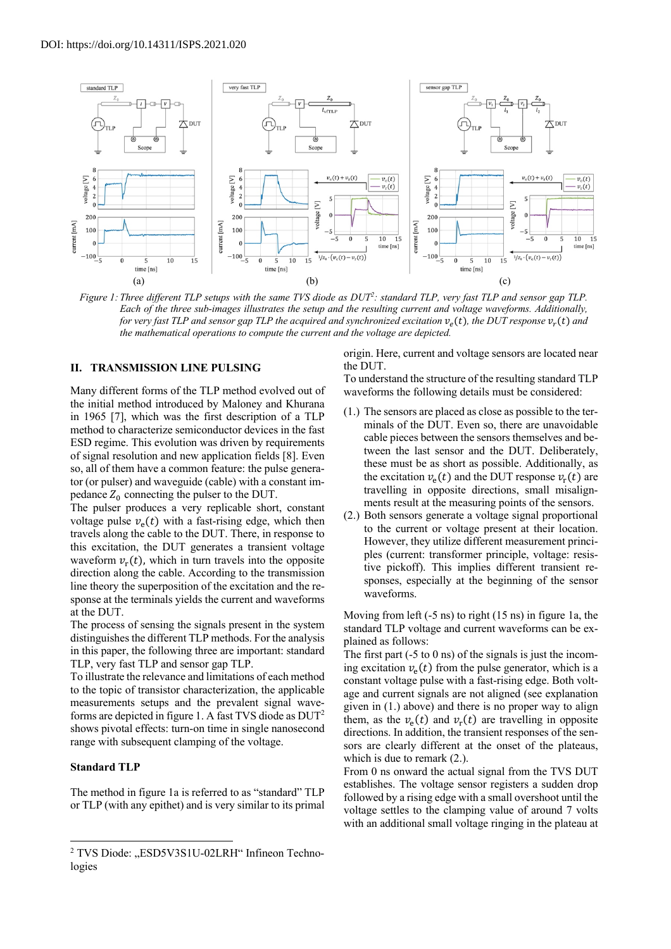

*Figure 1: Three different TLP setups with the same TVS diode as DUT2 : standard TLP, very fast TLP and sensor gap TLP. Each of the three sub-images illustrates the setup and the resulting current and voltage waveforms. Additionally, for very fast TLP and sensor gap TLP the acquired and synchronized excitation*  $v_e(t)$ *, the DUT response*  $v_r(t)$  *and the mathematical operations to compute the current and the voltage are depicted.*

## **II. TRANSMISSION LINE PULSING**

Many different forms of the TLP method evolved out of the initial method introduced by Maloney and Khurana in 1965 [7], which was the first description of a TLP method to characterize semiconductor devices in the fast ESD regime. This evolution was driven by requirements of signal resolution and new application fields [8]. Even so, all of them have a common feature: the pulse generator (or pulser) and waveguide (cable) with a constant impedance  $Z_0$  connecting the pulser to the DUT.

The pulser produces a very replicable short, constant voltage pulse  $v_{\rho}(t)$  with a fast-rising edge, which then travels along the cable to the DUT. There, in response to this excitation, the DUT generates a transient voltage waveform  $v_r(t)$ , which in turn travels into the opposite direction along the cable. According to the transmission line theory the superposition of the excitation and the response at the terminals yields the current and waveforms at the DUT.

The process of sensing the signals present in the system distinguishes the different TLP methods. For the analysis in this paper, the following three are important: standard TLP, very fast TLP and sensor gap TLP.

To illustrate the relevance and limitations of each method to the topic of transistor characterization, the applicable measurements setups and the prevalent signal waveforms are depicted in figure 1. A fast TVS diode as  $DUT^2$ shows pivotal effects: turn-on time in single nanosecond range with subsequent clamping of the voltage.

#### **Standard TLP**

The method in figure 1a is referred to as "standard" TLP or TLP (with any epithet) and is very similar to its primal origin. Here, current and voltage sensors are located near the DUT.

To understand the structure of the resulting standard TLP waveforms the following details must be considered:

- (1.) The sensors are placed as close as possible to the terminals of the DUT. Even so, there are unavoidable cable pieces between the sensors themselves and between the last sensor and the DUT. Deliberately, these must be as short as possible. Additionally, as the excitation  $v_e(t)$  and the DUT response  $v_r(t)$  are travelling in opposite directions, small misalignments result at the measuring points of the sensors.
- (2.) Both sensors generate a voltage signal proportional to the current or voltage present at their location. However, they utilize different measurement principles (current: transformer principle, voltage: resistive pickoff). This implies different transient responses, especially at the beginning of the sensor waveforms.

Moving from left (-5 ns) to right (15 ns) in figure 1a, the standard TLP voltage and current waveforms can be explained as follows:

The first part  $(-5 \text{ to } 0 \text{ ns})$  of the signals is just the incoming excitation  $v_{\rm e}(t)$  from the pulse generator, which is a constant voltage pulse with a fast-rising edge. Both voltage and current signals are not aligned (see explanation given in (1.) above) and there is no proper way to align them, as the  $v_{\rho}(t)$  and  $v_{\rho}(t)$  are travelling in opposite directions. In addition, the transient responses of the sensors are clearly different at the onset of the plateaus, which is due to remark (2.).

From 0 ns onward the actual signal from the TVS DUT establishes. The voltage sensor registers a sudden drop followed by a rising edge with a small overshoot until the voltage settles to the clamping value of around 7 volts with an additional small voltage ringing in the plateau at

<sup>&</sup>lt;sup>2</sup> TVS Diode: "ESD5V3S1U-02LRH" Infineon Technologies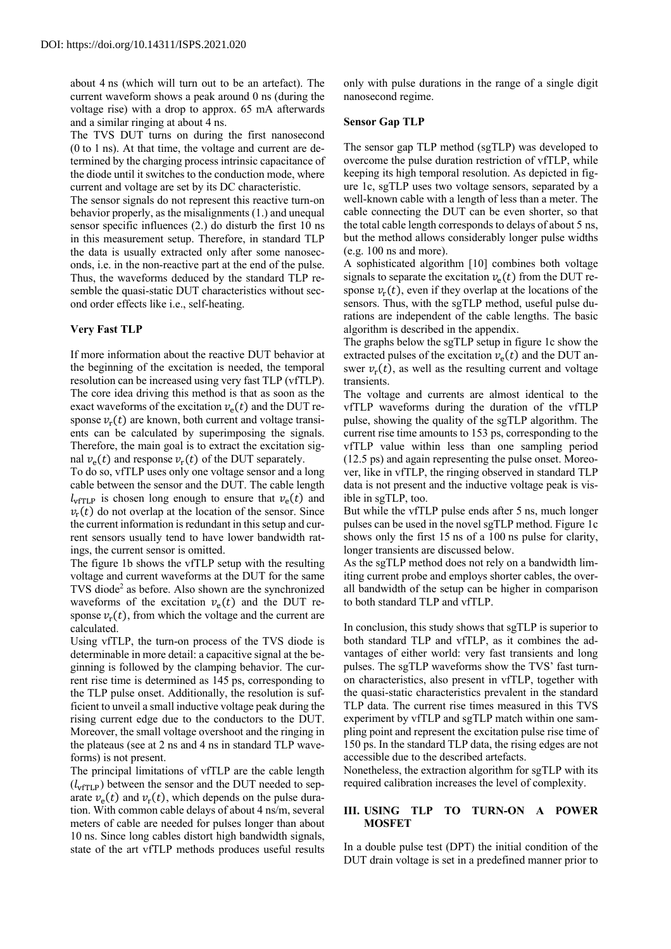about 4 ns (which will turn out to be an artefact). The current waveform shows a peak around 0 ns (during the voltage rise) with a drop to approx. 65 mA afterwards and a similar ringing at about 4 ns.

The TVS DUT turns on during the first nanosecond (0 to 1 ns). At that time, the voltage and current are determined by the charging process intrinsic capacitance of the diode until it switches to the conduction mode, where current and voltage are set by its DC characteristic.

The sensor signals do not represent this reactive turn-on behavior properly, as the misalignments (1.) and unequal sensor specific influences (2.) do disturb the first 10 ns in this measurement setup. Therefore, in standard TLP the data is usually extracted only after some nanoseconds, i.e. in the non-reactive part at the end of the pulse. Thus, the waveforms deduced by the standard TLP resemble the quasi-static DUT characteristics without second order effects like i.e., self-heating.

#### **Very Fast TLP**

If more information about the reactive DUT behavior at the beginning of the excitation is needed, the temporal resolution can be increased using very fast TLP (vfTLP). The core idea driving this method is that as soon as the exact waveforms of the excitation  $v_{\rm e}(t)$  and the DUT response  $v_r(t)$  are known, both current and voltage transients can be calculated by superimposing the signals. Therefore, the main goal is to extract the excitation signal  $v_e(t)$  and response  $v_r(t)$  of the DUT separately.

To do so, vfTLP uses only one voltage sensor and a long cable between the sensor and the DUT. The cable length  $l_{\text{vfTLP}}$  is chosen long enough to ensure that  $v_{\text{e}}(t)$  and  $v_r(t)$  do not overlap at the location of the sensor. Since the current information is redundant in this setup and current sensors usually tend to have lower bandwidth ratings, the current sensor is omitted.

The figure 1b shows the vfTLP setup with the resulting voltage and current waveforms at the DUT for the same TVS diode<sup>2</sup> as before. Also shown are the synchronized waveforms of the excitation  $v_{\rho}(t)$  and the DUT response  $v_r(t)$ , from which the voltage and the current are calculated.

Using vfTLP, the turn-on process of the TVS diode is determinable in more detail: a capacitive signal at the beginning is followed by the clamping behavior. The current rise time is determined as 145 ps, corresponding to the TLP pulse onset. Additionally, the resolution is sufficient to unveil a small inductive voltage peak during the rising current edge due to the conductors to the DUT. Moreover, the small voltage overshoot and the ringing in the plateaus (see at 2 ns and 4 ns in standard TLP waveforms) is not present.

The principal limitations of vfTLP are the cable length  $(l_{\text{vfTI P}})$  between the sensor and the DUT needed to separate  $v_e(t)$  and  $v_r(t)$ , which depends on the pulse duration. With common cable delays of about 4 ns/m, several meters of cable are needed for pulses longer than about 10 ns. Since long cables distort high bandwidth signals, state of the art vfTLP methods produces useful results

only with pulse durations in the range of a single digit nanosecond regime.

#### **Sensor Gap TLP**

The sensor gap TLP method (sgTLP) was developed to overcome the pulse duration restriction of vfTLP, while keeping its high temporal resolution. As depicted in figure 1c, sgTLP uses two voltage sensors, separated by a well-known cable with a length of less than a meter. The cable connecting the DUT can be even shorter, so that the total cable length corresponds to delays of about 5 ns, but the method allows considerably longer pulse widths (e.g. 100 ns and more).

A sophisticated algorithm [10] combines both voltage signals to separate the excitation  $v_e(t)$  from the DUT response  $v_r(t)$ , even if they overlap at the locations of the sensors. Thus, with the sgTLP method, useful pulse durations are independent of the cable lengths. The basic algorithm is described in the appendix.

The graphs below the sgTLP setup in figure 1c show the extracted pulses of the excitation  $v_e(t)$  and the DUT answer  $v_r(t)$ , as well as the resulting current and voltage transients.

The voltage and currents are almost identical to the vfTLP waveforms during the duration of the vfTLP pulse, showing the quality of the sgTLP algorithm. The current rise time amounts to 153 ps, corresponding to the vfTLP value within less than one sampling period (12.5 ps) and again representing the pulse onset. Moreover, like in vfTLP, the ringing observed in standard TLP data is not present and the inductive voltage peak is visible in sgTLP, too.

But while the vfTLP pulse ends after 5 ns, much longer pulses can be used in the novel sgTLP method. Figure 1c shows only the first 15 ns of a 100 ns pulse for clarity, longer transients are discussed below.

As the sgTLP method does not rely on a bandwidth limiting current probe and employs shorter cables, the overall bandwidth of the setup can be higher in comparison to both standard TLP and vfTLP.

In conclusion, this study shows that sgTLP is superior to both standard TLP and vfTLP, as it combines the advantages of either world: very fast transients and long pulses. The sgTLP waveforms show the TVS' fast turnon characteristics, also present in vfTLP, together with the quasi-static characteristics prevalent in the standard TLP data. The current rise times measured in this TVS experiment by vfTLP and sgTLP match within one sampling point and represent the excitation pulse rise time of 150 ps. In the standard TLP data, the rising edges are not accessible due to the described artefacts.

Nonetheless, the extraction algorithm for sgTLP with its required calibration increases the level of complexity.

## **III. USING TLP TO TURN-ON A POWER MOSFET**

In a double pulse test (DPT) the initial condition of the DUT drain voltage is set in a predefined manner prior to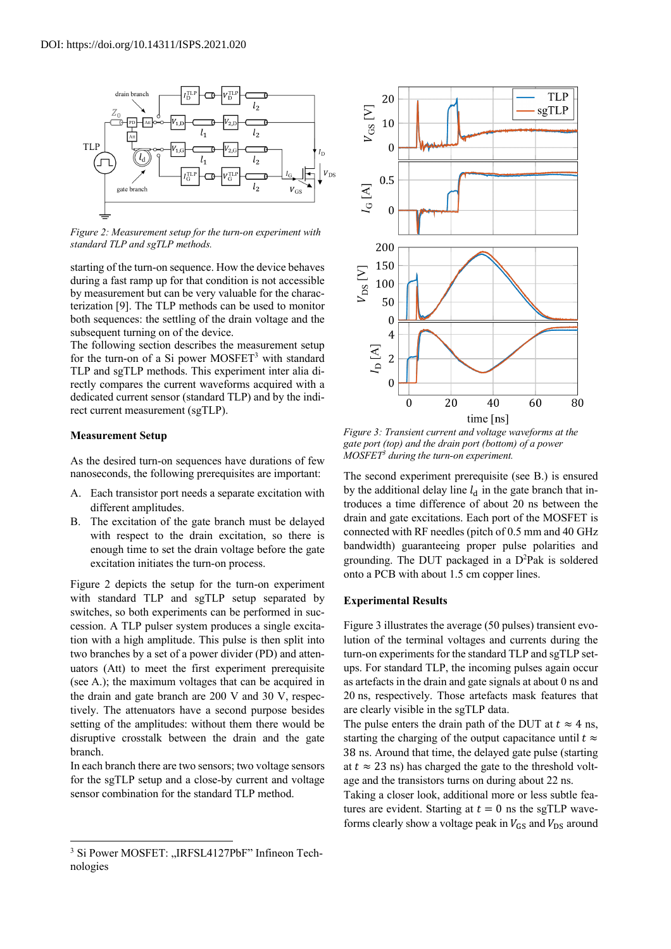

*Figure 2: Measurement setup for the turn-on experiment with standard TLP and sgTLP methods.*

starting of the turn-on sequence. How the device behaves during a fast ramp up for that condition is not accessible by measurement but can be very valuable for the characterization [9]. The TLP methods can be used to monitor both sequences: the settling of the drain voltage and the subsequent turning on of the device.

The following section describes the measurement setup for the turn-on of a Si power MOSFET<sup>3</sup> with standard TLP and sgTLP methods. This experiment inter alia directly compares the current waveforms acquired with a dedicated current sensor (standard TLP) and by the indirect current measurement (sgTLP).

#### **Measurement Setup**

As the desired turn-on sequences have durations of few nanoseconds, the following prerequisites are important:

- A. Each transistor port needs a separate excitation with different amplitudes.
- B. The excitation of the gate branch must be delayed with respect to the drain excitation, so there is enough time to set the drain voltage before the gate excitation initiates the turn-on process.

Figure 2 depicts the setup for the turn-on experiment with standard TLP and sgTLP setup separated by switches, so both experiments can be performed in succession. A TLP pulser system produces a single excitation with a high amplitude. This pulse is then split into two branches by a set of a power divider (PD) and attenuators (Att) to meet the first experiment prerequisite (see A.); the maximum voltages that can be acquired in the drain and gate branch are 200 V and 30 V, respectively. The attenuators have a second purpose besides setting of the amplitudes: without them there would be disruptive crosstalk between the drain and the gate branch.

In each branch there are two sensors; two voltage sensors for the sgTLP setup and a close-by current and voltage sensor combination for the standard TLP method.



*Figure 3: Transient current and voltage waveforms at the gate port (top) and the drain port (bottom) of a power MOSFET3 during the turn-on experiment.*

The second experiment prerequisite (see B.) is ensured by the additional delay line  $l_d$  in the gate branch that introduces a time difference of about 20 ns between the drain and gate excitations. Each port of the MOSFET is connected with RF needles (pitch of 0.5 mm and 40 GHz bandwidth) guaranteeing proper pulse polarities and grounding. The DUT packaged in a D<sup>2</sup>Pak is soldered onto a PCB with about 1.5 cm copper lines.

#### **Experimental Results**

Figure 3 illustrates the average (50 pulses) transient evolution of the terminal voltages and currents during the turn-on experiments for the standard TLP and sgTLP setups. For standard TLP, the incoming pulses again occur as artefacts in the drain and gate signals at about 0 ns and 20 ns, respectively. Those artefacts mask features that are clearly visible in the sgTLP data.

The pulse enters the drain path of the DUT at  $t \approx 4$  ns, starting the charging of the output capacitance until  $t \approx$ 38 ns. Around that time, the delayed gate pulse (starting at  $t \approx 23$  ns) has charged the gate to the threshold voltage and the transistors turns on during about 22 ns.

Taking a closer look, additional more or less subtle features are evident. Starting at  $t = 0$  ns the sgTLP waveforms clearly show a voltage peak in  $V_{GS}$  and  $V_{DS}$  around

<sup>&</sup>lt;sup>3</sup> Si Power MOSFET: "IRFSL4127PbF" Infineon Technologies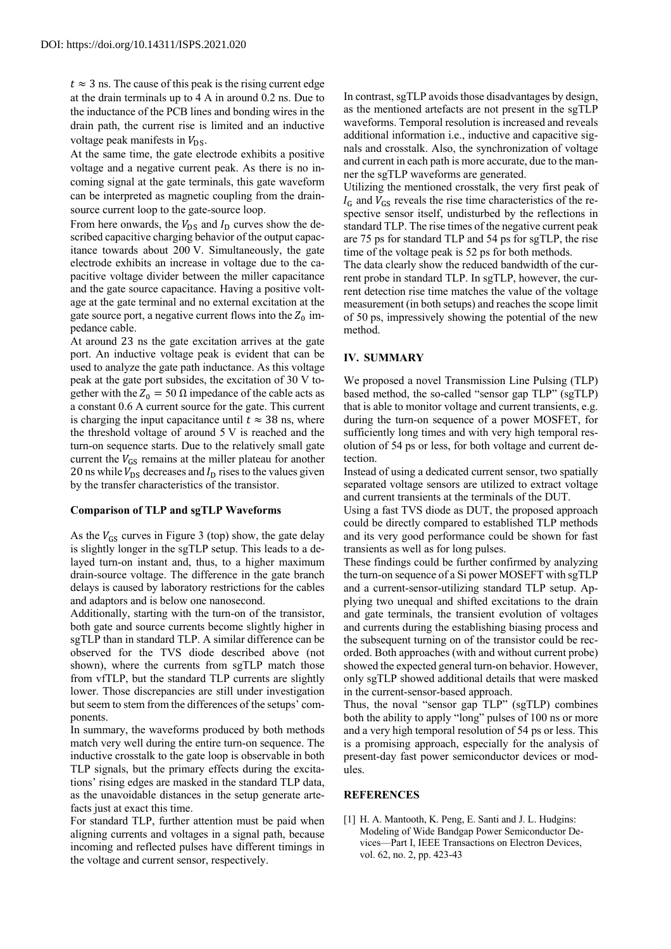$t \approx 3$  ns. The cause of this peak is the rising current edge at the drain terminals up to 4 A in around 0.2 ns. Due to the inductance of the PCB lines and bonding wires in the drain path, the current rise is limited and an inductive voltage peak manifests in  $V_{DS}$ .

At the same time, the gate electrode exhibits a positive voltage and a negative current peak. As there is no incoming signal at the gate terminals, this gate waveform can be interpreted as magnetic coupling from the drainsource current loop to the gate-source loop.

From here onwards, the  $V_{DS}$  and  $I_D$  curves show the described capacitive charging behavior of the output capacitance towards about 200 V. Simultaneously, the gate electrode exhibits an increase in voltage due to the capacitive voltage divider between the miller capacitance and the gate source capacitance. Having a positive voltage at the gate terminal and no external excitation at the gate source port, a negative current flows into the  $Z_0$  impedance cable.

At around 23 ns the gate excitation arrives at the gate port. An inductive voltage peak is evident that can be used to analyze the gate path inductance. As this voltage peak at the gate port subsides, the excitation of 30 V together with the  $Z_0 = 50 \Omega$  impedance of the cable acts as a constant 0.6 A current source for the gate. This current is charging the input capacitance until  $t \approx 38$  ns, where the threshold voltage of around 5 V is reached and the turn-on sequence starts. Due to the relatively small gate current the  $V_{GS}$  remains at the miller plateau for another 20 ns while  $V_{DS}$  decreases and  $I_D$  rises to the values given by the transfer characteristics of the transistor.

## **Comparison of TLP and sgTLP Waveforms**

As the  $V_{GS}$  curves in Figure 3 (top) show, the gate delay is slightly longer in the sgTLP setup. This leads to a delayed turn-on instant and, thus, to a higher maximum drain-source voltage. The difference in the gate branch delays is caused by laboratory restrictions for the cables and adaptors and is below one nanosecond.

Additionally, starting with the turn-on of the transistor, both gate and source currents become slightly higher in sgTLP than in standard TLP. A similar difference can be observed for the TVS diode described above (not shown), where the currents from sgTLP match those from vfTLP, but the standard TLP currents are slightly lower. Those discrepancies are still under investigation but seem to stem from the differences of the setups' components.

In summary, the waveforms produced by both methods match very well during the entire turn-on sequence. The inductive crosstalk to the gate loop is observable in both TLP signals, but the primary effects during the excitations' rising edges are masked in the standard TLP data, as the unavoidable distances in the setup generate artefacts just at exact this time.

For standard TLP, further attention must be paid when aligning currents and voltages in a signal path, because incoming and reflected pulses have different timings in the voltage and current sensor, respectively.

In contrast, sgTLP avoids those disadvantages by design, as the mentioned artefacts are not present in the sgTLP waveforms. Temporal resolution is increased and reveals additional information i.e., inductive and capacitive signals and crosstalk. Also, the synchronization of voltage and current in each path is more accurate, due to the manner the sgTLP waveforms are generated.

Utilizing the mentioned crosstalk, the very first peak of  $I_G$  and  $V_{GS}$  reveals the rise time characteristics of the respective sensor itself, undisturbed by the reflections in standard TLP. The rise times of the negative current peak are 75 ps for standard TLP and 54 ps for sgTLP, the rise time of the voltage peak is 52 ps for both methods.

The data clearly show the reduced bandwidth of the current probe in standard TLP. In sgTLP, however, the current detection rise time matches the value of the voltage measurement (in both setups) and reaches the scope limit of 50 ps, impressively showing the potential of the new method.

#### **IV. SUMMARY**

We proposed a novel Transmission Line Pulsing (TLP) based method, the so-called "sensor gap TLP" (sgTLP) that is able to monitor voltage and current transients, e.g. during the turn-on sequence of a power MOSFET, for sufficiently long times and with very high temporal resolution of 54 ps or less, for both voltage and current detection.

Instead of using a dedicated current sensor, two spatially separated voltage sensors are utilized to extract voltage and current transients at the terminals of the DUT.

Using a fast TVS diode as DUT, the proposed approach could be directly compared to established TLP methods and its very good performance could be shown for fast transients as well as for long pulses.

These findings could be further confirmed by analyzing the turn-on sequence of a Si power MOSEFT with sgTLP and a current-sensor-utilizing standard TLP setup. Applying two unequal and shifted excitations to the drain and gate terminals, the transient evolution of voltages and currents during the establishing biasing process and the subsequent turning on of the transistor could be recorded. Both approaches (with and without current probe) showed the expected general turn-on behavior. However, only sgTLP showed additional details that were masked in the current-sensor-based approach.

Thus, the noval "sensor gap TLP" (sgTLP) combines both the ability to apply "long" pulses of 100 ns or more and a very high temporal resolution of 54 ps or less. This is a promising approach, especially for the analysis of present-day fast power semiconductor devices or modules.

## **REFERENCES**

[1] H. A. Mantooth, K. Peng, E. Santi and J. L. Hudgins: Modeling of Wide Bandgap Power Semiconductor Devices—Part I, IEEE Transactions on Electron Devices, vol. 62, no. 2, pp. 423-43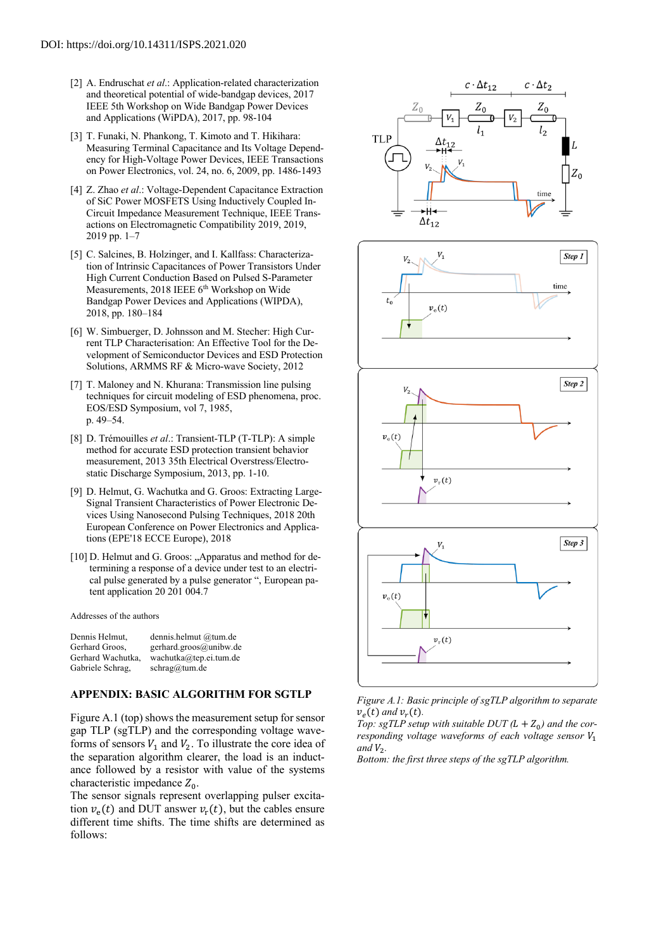- [2] A. Endruschat *et al*.: Application-related characterization and theoretical potential of wide-bandgap devices, 2017 IEEE 5th Workshop on Wide Bandgap Power Devices and Applications (WiPDA), 2017, pp. 98-104
- [3] T. Funaki, N. Phankong, T. Kimoto and T. Hikihara: Measuring Terminal Capacitance and Its Voltage Dependency for High-Voltage Power Devices, IEEE Transactions on Power Electronics, vol. 24, no. 6, 2009, pp. 1486-1493
- [4] Z. Zhao *et al*.: Voltage-Dependent Capacitance Extraction of SiC Power MOSFETS Using Inductively Coupled In-Circuit Impedance Measurement Technique, IEEE Transactions on Electromagnetic Compatibility 2019, 2019, 2019 pp. 1–7
- [5] C. Salcines, B. Holzinger, and I. Kallfass: Characterization of Intrinsic Capacitances of Power Transistors Under High Current Conduction Based on Pulsed S-Parameter Measurements, 2018 IEEE 6<sup>th</sup> Workshop on Wide Bandgap Power Devices and Applications (WIPDA), 2018, pp. 180–184
- [6] W. Simbuerger, D. Johnsson and M. Stecher: High Current TLP Characterisation: An Effective Tool for the Development of Semiconductor Devices and ESD Protection Solutions, ARMMS RF & Micro-wave Society, 2012
- [7] T. Maloney and N. Khurana: Transmission line pulsing techniques for circuit modeling of ESD phenomena, proc. EOS/ESD Symposium, vol 7, 1985, p. 49–54.
- [8] D. Trémouilles *et al*.: Transient-TLP (T-TLP): A simple method for accurate ESD protection transient behavior measurement, 2013 35th Electrical Overstress/Electrostatic Discharge Symposium, 2013, pp. 1-10.
- [9] D. Helmut, G. Wachutka and G. Groos: Extracting Large-Signal Transient Characteristics of Power Electronic Devices Using Nanosecond Pulsing Techniques, 2018 20th European Conference on Power Electronics and Applications (EPE'18 ECCE Europe), 2018
- [10] D. Helmut and G. Groos: "Apparatus and method for determining a response of a device under test to an electrical pulse generated by a pulse generator ", European patent application 20 201 004.7

Addresses of the authors

| Dennis Helmut,    | dennis.helmut @tum.de         |
|-------------------|-------------------------------|
| Gerhard Groos,    | gerhard.groos@unibw.de        |
| Gerhard Wachutka. | wachutka@tep.ei.tum.de        |
| Gabriele Schrag,  | $schrag(\hat{\omega})$ tum.de |

## **APPENDIX: BASIC ALGORITHM FOR SGTLP**

Figure A.1 (top) shows the measurement setup for sensor gap TLP (sgTLP) and the corresponding voltage waveforms of sensors  $V_1$  and  $V_2$ . To illustrate the core idea of the separation algorithm clearer, the load is an inductance followed by a resistor with value of the systems characteristic impedance  $Z_0$ .

The sensor signals represent overlapping pulser excitation  $v_{\rm o}(t)$  and DUT answer  $v_{\rm r}(t)$ , but the cables ensure different time shifts. The time shifts are determined as follows:



*Figure A.1: Basic principle of sgTLP algorithm to separate*   $v_e(t)$  and  $v_r(t)$ .

*Top: sgTLP setup with suitable DUT*  $(L + Z_0)$  *and the corresponding voltage waveforms of each voltage sensor*  $V_1$  $and V<sub>2</sub>$ .

*Bottom: the first three steps of the sgTLP algorithm.*